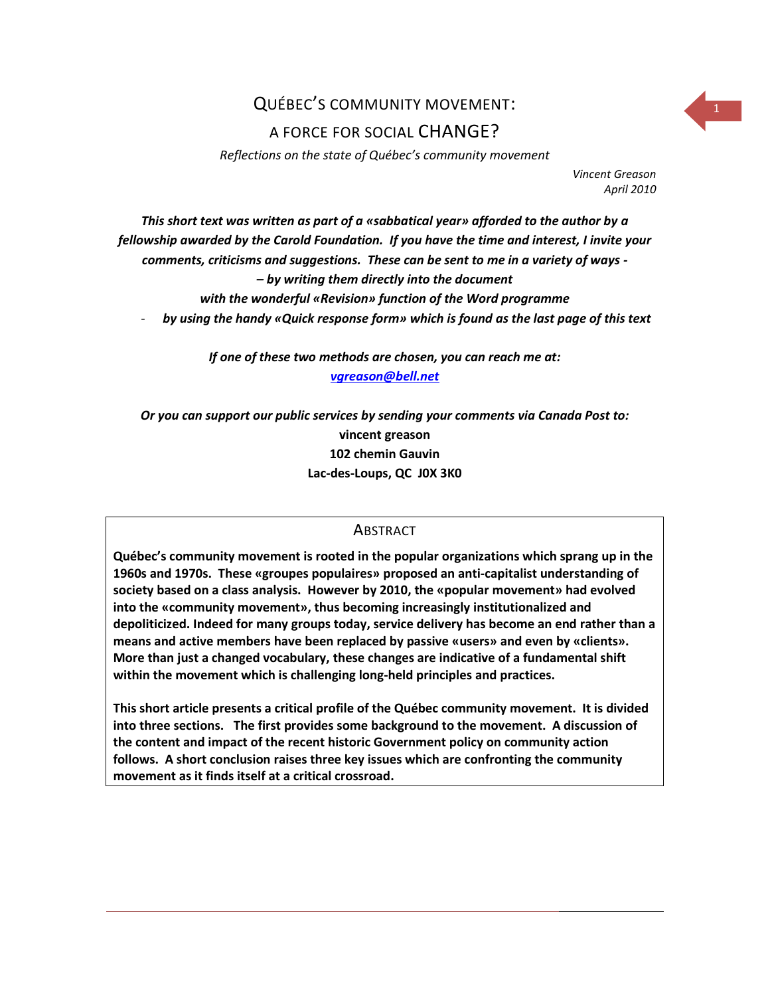# QUÉBEC'S COMMUNITY MOVEMENT: <sup>1</sup>

### A FORCE FOR SOCIAL CHANGE?

*Reflections on the state of Québec's community movement*

*Vincent Greason April 2010*

*This short text was written as part of a «sabbatical year» afforded to the author by a fellowship awarded by the Carold Foundation. If you have the time and interest, I invite your comments, criticisms and suggestions. These can be sent to me in a variety of ways - – by writing them directly into the document with the wonderful «Revision» function of the Word programme* - *by using the handy «Quick response form» which is found as the last page of this text*

*If one of these two methods are chosen, you can reach me at:*

*[vgreason@bell.net](mailto:vgreason@bell.net)*

*Or you can support our public services by sending your comments via Canada Post to:* **vincent greason 102 chemin Gauvin Lac-des-Loups, QC J0X 3K0**

### **ABSTRACT**

**Québec's community movement is rooted in the popular organizations which sprang up in the 1960s and 1970s. These «groupes populaires» proposed an anti-capitalist understanding of society based on a class analysis. However by 2010, the «popular movement» had evolved into the «community movement», thus becoming increasingly institutionalized and depoliticized. Indeed for many groups today, service delivery has become an end rather than a means and active members have been replaced by passive «users» and even by «clients». More than just a changed vocabulary, these changes are indicative of a fundamental shift within the movement which is challenging long-held principles and practices.**

**This short article presents a critical profile of the Québec community movement. It is divided into three sections. The first provides some background to the movement. A discussion of the content and impact of the recent historic Government policy on community action follows. A short conclusion raises three key issues which are confronting the community movement as it finds itself at a critical crossroad.**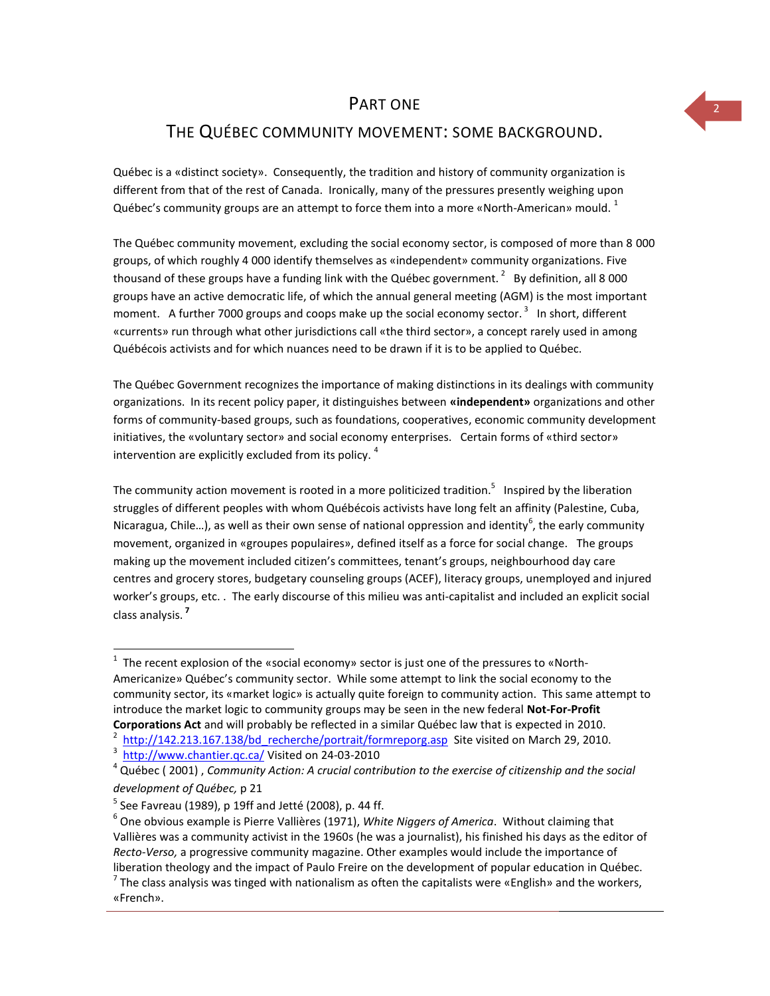### PART ONE

### THE QUÉBEC COMMUNITY MOVEMENT: SOME BACKGROUND.

Québec is a «distinct society». Consequently, the tradition and history of community organization is different from that of the rest of Canada. Ironically, many of the pressures presently weighing upon Québec's community groups are an attempt to force them into a more «North-American» mould.  $^1$ 

The Québec community movement, excluding the social economy sector, is composed of more than 8 000 groups, of which roughly 4 000 identify themselves as «independent» community organizations. Five thousand of these groups have a funding link with the Québec government.  $^{2}$  By definition, all 8 000 groups have an active democratic life, of which the annual general meeting (AGM) is the most important moment. A further 7000 groups and coops make up the social economy sector.<sup>3</sup> In short, different «currents» run through what other jurisdictions call «the third sector», a concept rarely used in among Québécois activists and for which nuances need to be drawn if it is to be applied to Québec.

The Québec Government recognizes the importance of making distinctions in its dealings with community organizations. In its recent policy paper, it distinguishes between **«independent»** organizations and other forms of community-based groups, such as foundations, cooperatives, economic community development initiatives, the «voluntary sector» and social economy enterprises. Certain forms of «third sector» intervention are explicitly excluded from its policy.  $^{4}$ 

The community action movement is rooted in a more politicized tradition.<sup>5</sup> Inspired by the liberation struggles of different peoples with whom Québécois activists have long felt an affinity (Palestine, Cuba, Nicaragua, Chile...), as well as their own sense of national oppression and identity<sup>6</sup>, the early community movement, organized in «groupes populaires», defined itself as a force for social change. The groups making up the movement included citizen's committees, tenant's groups, neighbourhood day care centres and grocery stores, budgetary counseling groups (ACEF), literacy groups, unemployed and injured worker's groups, etc. . The early discourse of this milieu was anti-capitalist and included an explicit social class analysis. **7**

 $\overline{a}$ 

 $<sup>1</sup>$  The recent explosion of the «social economy» sector is just one of the pressures to «North-</sup> Americanize» Québec's community sector. While some attempt to link the social economy to the community sector, its «market logic» is actually quite foreign to community action. This same attempt to introduce the market logic to community groups may be seen in the new federal **Not-For-Profit Corporations Act** and will probably be reflected in a similar Québec law that is expected in 2010.

<sup>2</sup> [http://142.213.167.138/bd\\_recherche/portrait/formreporg.asp](http://142.213.167.138/bd_recherche/portrait/formreporg.asp) Site visited on March 29, 2010.

<sup>&</sup>lt;sup>3</sup> <http://www.chantier.qc.ca/> Visited on 24-03-2010

<sup>4</sup> Québec ( 2001) , *Community Action: A crucial contribution to the exercise of citizenship and the social development of Québec,* p 21

 $^5$  See Favreau (1989), p 19ff and Jetté (2008), p. 44 ff.

<sup>6</sup> One obvious example is Pierre Vallières (1971), *White Niggers of America*. Without claiming that Vallières was a community activist in the 1960s (he was a journalist), his finished his days as the editor of *Recto-Verso,* a progressive community magazine. Other examples would include the importance of liberation theology and the impact of Paulo Freire on the development of popular education in Québec.

<sup>&</sup>lt;sup>7</sup> The class analysis was tinged with nationalism as often the capitalists were «English» and the workers, «French».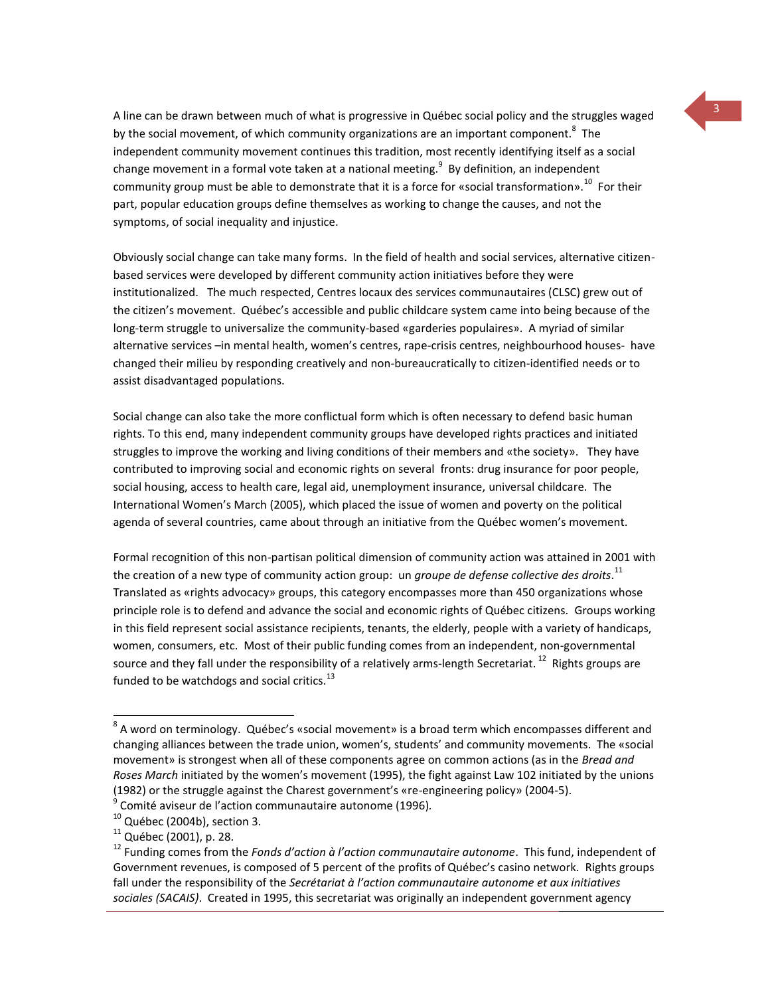A line can be drawn between much of what is progressive in Québec social policy and the struggles waged by the social movement, of which community organizations are an important component.<sup>8</sup> The independent community movement continues this tradition, most recently identifying itself as a social change movement in a formal vote taken at a national meeting. $^9\,$  By definition, an independent community group must be able to demonstrate that it is a force for «social transformation».<sup>10</sup> For their part, popular education groups define themselves as working to change the causes, and not the symptoms, of social inequality and injustice.

Obviously social change can take many forms. In the field of health and social services, alternative citizenbased services were developed by different community action initiatives before they were institutionalized. The much respected, Centres locaux des services communautaires (CLSC) grew out of the citizen's movement. Québec's accessible and public childcare system came into being because of the long-term struggle to universalize the community-based «garderies populaires». A myriad of similar alternative services -in mental health, women's centres, rape-crisis centres, neighbourhood houses- have changed their milieu by responding creatively and non-bureaucratically to citizen-identified needs or to assist disadvantaged populations.

Social change can also take the more conflictual form which is often necessary to defend basic human rights. To this end, many independent community groups have developed rights practices and initiated struggles to improve the working and living conditions of their members and «the society». They have contributed to improving social and economic rights on several fronts: drug insurance for poor people, social housing, access to health care, legal aid, unemployment insurance, universal childcare. The International Women's March (2005), which placed the issue of women and poverty on the political agenda of several countries, came about through an initiative from the Québec women's movement.

Formal recognition of this non-partisan political dimension of community action was attained in 2001 with the creation of a new type of community action group: un *groupe de defense collective des droits*. 11 Translated as «rights advocacy» groups, this category encompasses more than 450 organizations whose principle role is to defend and advance the social and economic rights of Québec citizens. Groups working in this field represent social assistance recipients, tenants, the elderly, people with a variety of handicaps, women, consumers, etc. Most of their public funding comes from an independent, non-governmental source and they fall under the responsibility of a relatively arms-length Secretariat.  $^{12}$  Rights groups are funded to be watchdogs and social critics.<sup>13</sup>

 $\overline{a}$ 

 $^8$  A word on terminology. Québec's «social movement» is a broad term which encompasses different and changing alliances between the trade union, women's, students' and community movements. The «social movement» is strongest when all of these components agree on common actions (as in the *Bread and Roses March* initiated by the women's movement (1995), the fight against Law 102 initiated by the unions (1982) or the struggle against the Charest government's «re-engineering policy» (2004-5).

<sup>9</sup> Comité aviseur de l'action communautaire autonome (1996)*.*

 $10$  Québec (2004b), section 3.

 $11$  Québec (2001), p. 28.

<sup>12</sup> Funding comes from the *Fonds d'action à l'action communautaire autonome*. This fund, independent of Government revenues, is composed of 5 percent of the profits of Québec's casino network. Rights groups fall under the responsibility of the *Secrétariat à l'action communautaire autonome et aux initiatives sociales (SACAIS)*. Created in 1995, this secretariat was originally an independent government agency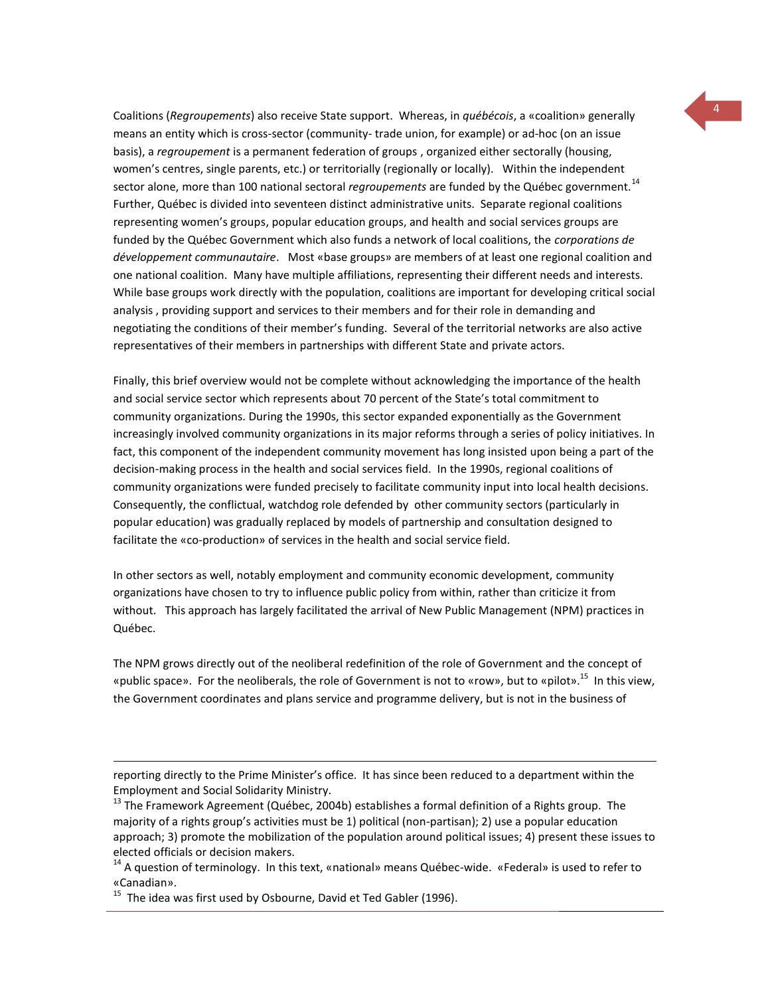Coalitions (*Regroupements*) also receive State support. Whereas, in *québécois*, a «coalition» generally means an entity which is cross-sector (community- trade union, for example) or ad-hoc (on an issue basis), a *regroupement* is a permanent federation of groups , organized either sectorally (housing, women's centres, single parents, etc.) or territorially (regionally or locally). Within the independent sector alone, more than 100 national sectoral *regroupements* are funded by the Québec government.<sup>14</sup> Further, Québec is divided into seventeen distinct administrative units. Separate regional coalitions representing women's groups, popular education groups, and health and social services groups are funded by the Québec Government which also funds a network of local coalitions, the *corporations de développement communautaire*. Most «base groups» are members of at least one regional coalition and one national coalition. Many have multiple affiliations, representing their different needs and interests. While base groups work directly with the population, coalitions are important for developing critical social analysis , providing support and services to their members and for their role in demanding and negotiating the conditions of their member's funding. Several of the territorial networks are also active representatives of their members in partnerships with different State and private actors.

Finally, this brief overview would not be complete without acknowledging the importance of the health and social service sector which represents about 70 percent of the State's total commitment to community organizations. During the 1990s, this sector expanded exponentially as the Government increasingly involved community organizations in its major reforms through a series of policy initiatives. In fact, this component of the independent community movement has long insisted upon being a part of the decision-making process in the health and social services field. In the 1990s, regional coalitions of community organizations were funded precisely to facilitate community input into local health decisions. Consequently, the conflictual, watchdog role defended by other community sectors (particularly in popular education) was gradually replaced by models of partnership and consultation designed to facilitate the «co-production» of services in the health and social service field.

In other sectors as well, notably employment and community economic development, community organizations have chosen to try to influence public policy from within, rather than criticize it from without. This approach has largely facilitated the arrival of New Public Management (NPM) practices in Québec.

The NPM grows directly out of the neoliberal redefinition of the role of Government and the concept of «public space». For the neoliberals, the role of Government is not to «row», but to «pilot».<sup>15</sup> In this view, the Government coordinates and plans service and programme delivery, but is not in the business of

 $\overline{a}$ 

reporting directly to the Prime Minister's office. It has since been reduced to a department within the Employment and Social Solidarity Ministry.

<sup>&</sup>lt;sup>13</sup> The Framework Agreement (Québec, 2004b) establishes a formal definition of a Rights group. The majority of a rights group's activities must be 1) political (non-partisan); 2) use a popular education approach; 3) promote the mobilization of the population around political issues; 4) present these issues to elected officials or decision makers.

<sup>&</sup>lt;sup>14</sup> A question of terminology. In this text, «national» means Québec-wide. «Federal» is used to refer to «Canadian».

 $^{15}$  The idea was first used by Osbourne, David et Ted Gabler (1996).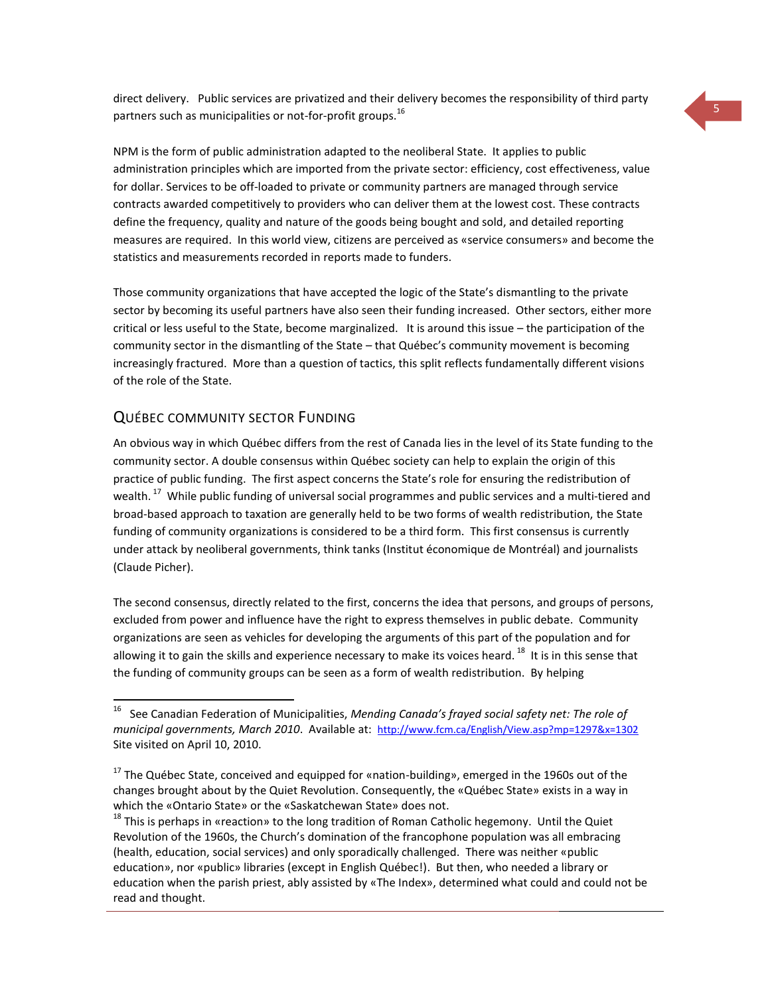direct delivery. Public services are privatized and their delivery becomes the responsibility of third party partners such as municipalities or not-for-profit groups.<sup>16</sup>

NPM is the form of public administration adapted to the neoliberal State. It applies to public administration principles which are imported from the private sector: efficiency, cost effectiveness, value for dollar. Services to be off-loaded to private or community partners are managed through service contracts awarded competitively to providers who can deliver them at the lowest cost. These contracts define the frequency, quality and nature of the goods being bought and sold, and detailed reporting measures are required. In this world view, citizens are perceived as «service consumers» and become the statistics and measurements recorded in reports made to funders.

Those community organizations that have accepted the logic of the State's dismantling to the private sector by becoming its useful partners have also seen their funding increased. Other sectors, either more critical or less useful to the State, become marginalized. It is around this issue – the participation of the community sector in the dismantling of the State – that Québec's community movement is becoming increasingly fractured. More than a question of tactics, this split reflects fundamentally different visions of the role of the State.

### QUÉBEC COMMUNITY SECTOR FUNDING

 $\overline{a}$ 

An obvious way in which Québec differs from the rest of Canada lies in the level of its State funding to the community sector. A double consensus within Québec society can help to explain the origin of this practice of public funding. The first aspect concerns the State's role for ensuring the redistribution of wealth.<sup>17</sup> While public funding of universal social programmes and public services and a multi-tiered and broad-based approach to taxation are generally held to be two forms of wealth redistribution, the State funding of community organizations is considered to be a third form. This first consensus is currently under attack by neoliberal governments, think tanks (Institut économique de Montréal) and journalists (Claude Picher).

The second consensus, directly related to the first, concerns the idea that persons, and groups of persons, excluded from power and influence have the right to express themselves in public debate. Community organizations are seen as vehicles for developing the arguments of this part of the population and for allowing it to gain the skills and experience necessary to make its voices heard. <sup>18</sup> It is in this sense that the funding of community groups can be seen as a form of wealth redistribution. By helping

<sup>16</sup> See Canadian Federation of Municipalities, *Mending Canada's frayed social safety net: The role of municipal governments, March 2010*. Available at: <http://www.fcm.ca/English/View.asp?mp=1297&x=1302> Site visited on April 10, 2010.

<sup>&</sup>lt;sup>17</sup> The Québec State, conceived and equipped for «nation-building», emerged in the 1960s out of the changes brought about by the Quiet Revolution. Consequently, the «Québec State» exists in a way in which the «Ontario State» or the «Saskatchewan State» does not.

 $18$  This is perhaps in «reaction» to the long tradition of Roman Catholic hegemony. Until the Quiet Revolution of the 1960s, the Church's domination of the francophone population was all embracing (health, education, social services) and only sporadically challenged. There was neither «public education», nor «public» libraries (except in English Québec!). But then, who needed a library or education when the parish priest, ably assisted by «The Index», determined what could and could not be read and thought.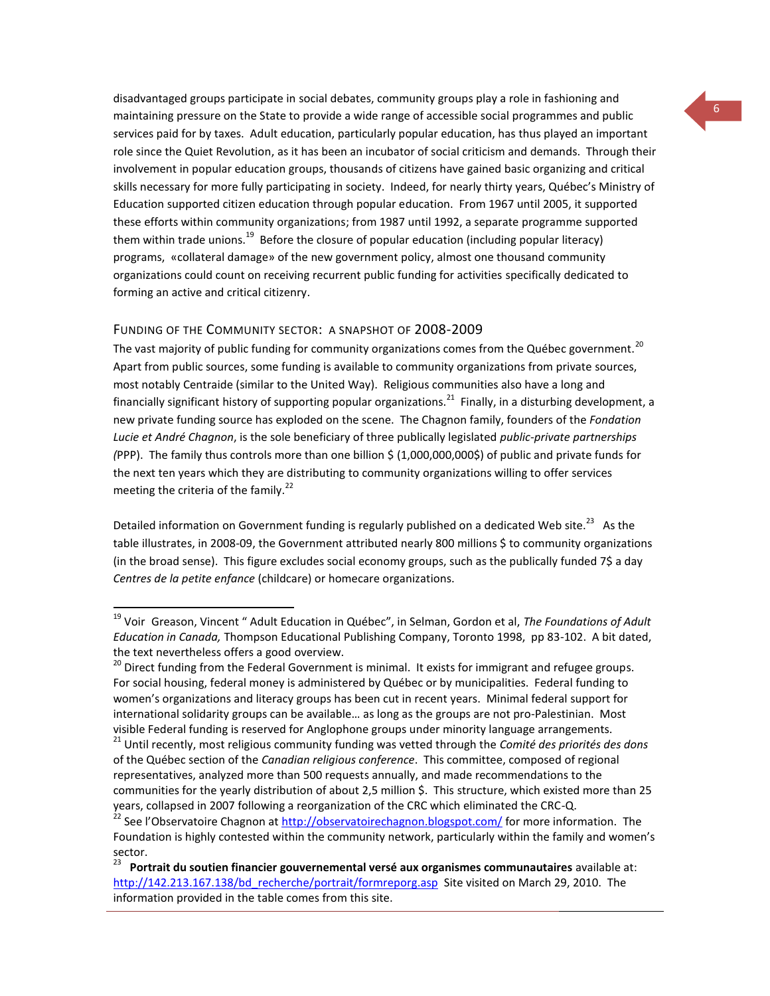disadvantaged groups participate in social debates, community groups play a role in fashioning and maintaining pressure on the State to provide a wide range of accessible social programmes and public services paid for by taxes. Adult education, particularly popular education, has thus played an important role since the Quiet Revolution, as it has been an incubator of social criticism and demands. Through their involvement in popular education groups, thousands of citizens have gained basic organizing and critical skills necessary for more fully participating in society. Indeed, for nearly thirty years, Québec's Ministry of Education supported citizen education through popular education. From 1967 until 2005, it supported these efforts within community organizations; from 1987 until 1992, a separate programme supported them within trade unions.<sup>19</sup> Before the closure of popular education (including popular literacy) programs, «collateral damage» of the new government policy, almost one thousand community organizations could count on receiving recurrent public funding for activities specifically dedicated to forming an active and critical citizenry.

#### FUNDING OF THE COMMUNITY SECTOR: A SNAPSHOT OF 2008-2009

 $\overline{a}$ 

The vast majority of public funding for community organizations comes from the Québec government.<sup>20</sup> Apart from public sources, some funding is available to community organizations from private sources, most notably Centraide (similar to the United Way). Religious communities also have a long and financially significant history of supporting popular organizations.<sup>21</sup> Finally, in a disturbing development, a new private funding source has exploded on the scene. The Chagnon family, founders of the *Fondation Lucie et André Chagnon*, is the sole beneficiary of three publically legislated *public-private partnerships (*PPP). The family thus controls more than one billion \$ (1,000,000,000\$) of public and private funds for the next ten years which they are distributing to community organizations willing to offer services meeting the criteria of the family. $^{22}$ 

Detailed information on Government funding is regularly published on a dedicated Web site.<sup>23</sup> As the table illustrates, in 2008-09, the Government attributed nearly 800 millions \$ to community organizations (in the broad sense). This figure excludes social economy groups, such as the publically funded 7\$ a day *Centres de la petite enfance* (childcare) or homecare organizations.

<sup>19</sup> Voir Greason, Vincent " Adult Education in Québec", in Selman, Gordon et al, *The Foundations of Adult Education in Canada,* Thompson Educational Publishing Company, Toronto 1998, pp 83-102. A bit dated, the text nevertheless offers a good overview.

<sup>&</sup>lt;sup>20</sup> Direct funding from the Federal Government is minimal. It exists for immigrant and refugee groups. For social housing, federal money is administered by Québec or by municipalities. Federal funding to women's organizations and literacy groups has been cut in recent years. Minimal federal support for international solidarity groups can be available… as long as the groups are not pro-Palestinian. Most visible Federal funding is reserved for Anglophone groups under minority language arrangements.

<sup>21</sup> Until recently, most religious community funding was vetted through the *Comité des priorités des dons* of the Québec section of the *Canadian religious conference*. This committee, composed of regional representatives, analyzed more than 500 requests annually, and made recommendations to the communities for the yearly distribution of about 2,5 million \$. This structure, which existed more than 25 years, collapsed in 2007 following a reorganization of the CRC which eliminated the CRC-Q.

<sup>&</sup>lt;sup>22</sup> See l'Observatoire Chagnon at *<http://observatoirechagnon.blogspot.com/>* for more information. The Foundation is highly contested within the community network, particularly within the family and women's sector.

<sup>23</sup> **Portrait du soutien financier gouvernemental versé aux organismes communautaires** available at: http://142.213.167.138/bd\_recherche/portrait/formreporg.asp\_Site visited on March 29, 2010. The information provided in the table comes from this site.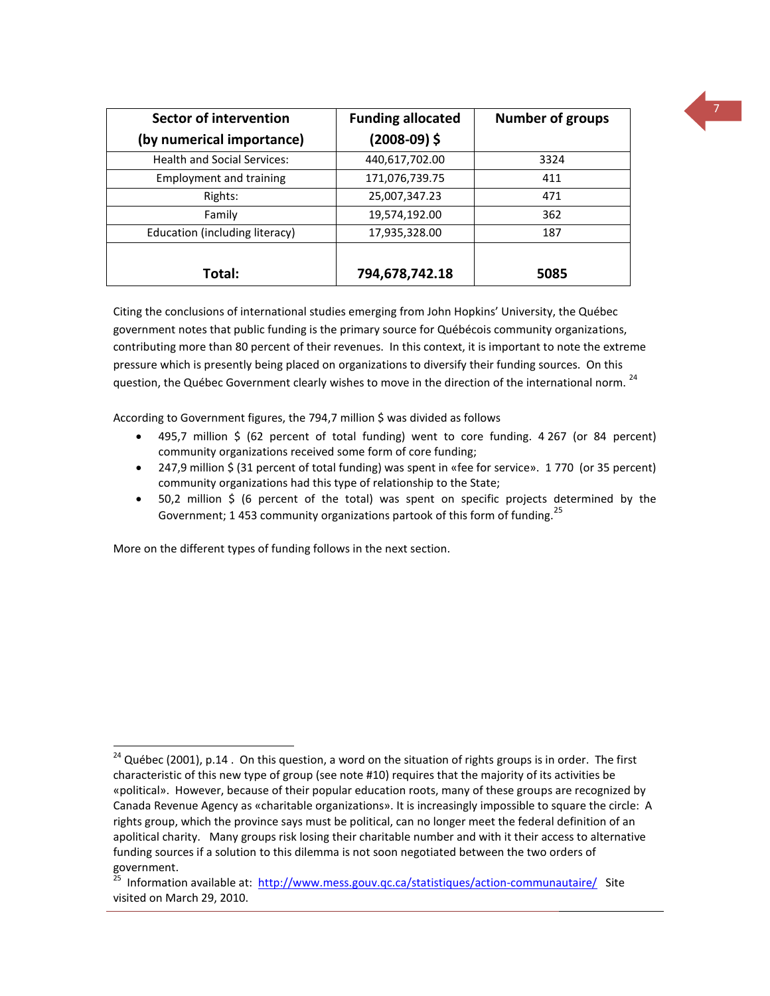| Sector of intervention<br>(by numerical importance) | <b>Funding allocated</b><br>$(2008-09)$ \$ | <b>Number of groups</b> |
|-----------------------------------------------------|--------------------------------------------|-------------------------|
| <b>Health and Social Services:</b>                  | 440,617,702.00                             | 3324                    |
| <b>Employment and training</b>                      | 171,076,739.75                             | 411                     |
| Rights:                                             | 25,007,347.23                              | 471                     |
| Family                                              | 19,574,192.00                              | 362                     |
| Education (including literacy)                      | 17,935,328.00                              | 187                     |
| Total:                                              | 794,678,742.18                             | 5085                    |

Citing the conclusions of international studies emerging from John Hopkins' University, the Québec government notes that public funding is the primary source for Québécois community organizations, contributing more than 80 percent of their revenues. In this context, it is important to note the extreme pressure which is presently being placed on organizations to diversify their funding sources. On this question, the Québec Government clearly wishes to move in the direction of the international norm.<sup>24</sup>

According to Government figures, the 794,7 million \$ was divided as follows

- 495,7 million \$ (62 percent of total funding) went to core funding. 4 267 (or 84 percent) community organizations received some form of core funding;
- 247,9 million \$ (31 percent of total funding) was spent in «fee for service». 1 770 (or 35 percent) community organizations had this type of relationship to the State;
- 50,2 million \$ (6 percent of the total) was spent on specific projects determined by the Government; 1 453 community organizations partook of this form of funding.<sup>25</sup>

More on the different types of funding follows in the next section.

 $\overline{a}$ 

<sup>&</sup>lt;sup>24</sup> Québec (2001), p.14 . On this question, a word on the situation of rights groups is in order. The first characteristic of this new type of group (see note #10) requires that the majority of its activities be «political». However, because of their popular education roots, many of these groups are recognized by Canada Revenue Agency as «charitable organizations». It is increasingly impossible to square the circle: A rights group, which the province says must be political, can no longer meet the federal definition of an apolitical charity. Many groups risk losing their charitable number and with it their access to alternative funding sources if a solution to this dilemma is not soon negotiated between the two orders of government.

<sup>&</sup>lt;sup>25</sup> Information available at: <http://www.mess.gouv.qc.ca/statistiques/action-communautaire/>Site visited on March 29, 2010.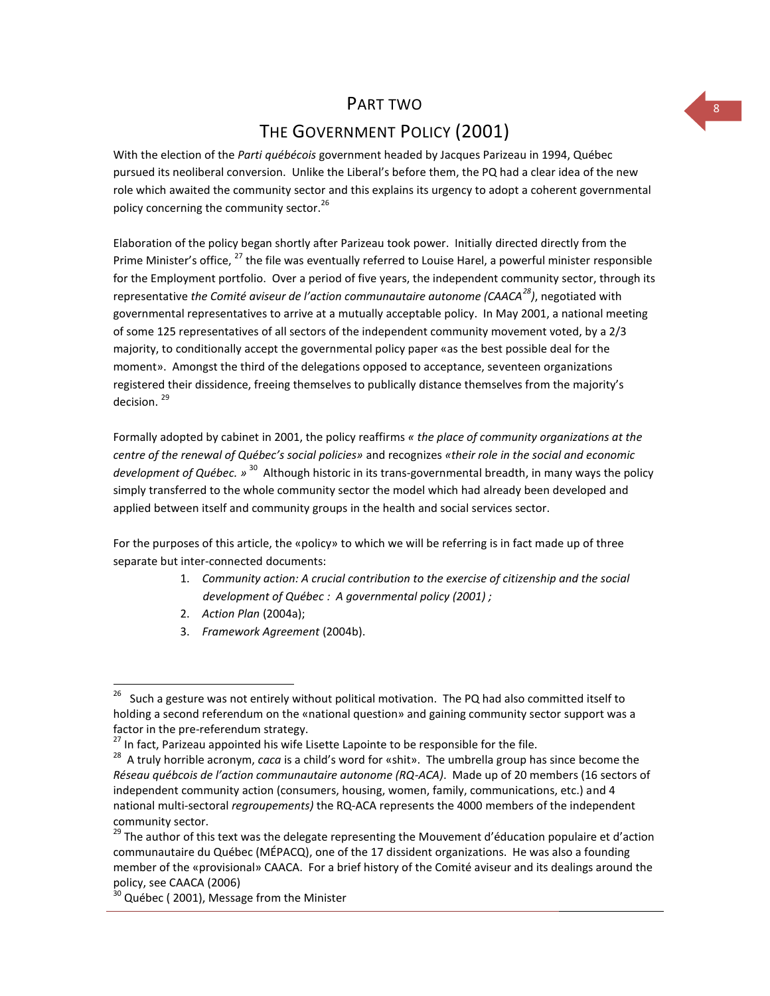### PART TWO

# THE GOVERNMENT POLICY (2001)

With the election of the *Parti québécois* government headed by Jacques Parizeau in 1994, Québec pursued its neoliberal conversion. Unlike the Liberal's before them, the PQ had a clear idea of the new role which awaited the community sector and this explains its urgency to adopt a coherent governmental policy concerning the community sector.<sup>26</sup>

Elaboration of the policy began shortly after Parizeau took power. Initially directed directly from the Prime Minister's office, <sup>27</sup> the file was eventually referred to Louise Harel, a powerful minister responsible for the Employment portfolio. Over a period of five years, the independent community sector, through its representative *the Comité aviseur de l'action communautaire autonome (CAACA<sup>28</sup>)*, negotiated with governmental representatives to arrive at a mutually acceptable policy. In May 2001, a national meeting of some 125 representatives of all sectors of the independent community movement voted, by a 2/3 majority, to conditionally accept the governmental policy paper «as the best possible deal for the moment». Amongst the third of the delegations opposed to acceptance, seventeen organizations registered their dissidence, freeing themselves to publically distance themselves from the majority's decision.<sup>29</sup>

Formally adopted by cabinet in 2001, the policy reaffirms *« the place of community organizations at the centre of the renewal of Québec's social policies»* and recognizes *«their role in the social and economic*  development of Québec. » <sup>30</sup> Although historic in its trans-governmental breadth, in many ways the policy simply transferred to the whole community sector the model which had already been developed and applied between itself and community groups in the health and social services sector.

For the purposes of this article, the «policy» to which we will be referring is in fact made up of three separate but inter-connected documents:

- 1. *Community action: A crucial contribution to the exercise of citizenship and the social development of Québec : A governmental policy (2001) ;*
- 2. *Action Plan* (2004a);
- 3. *Framework Agreement* (2004b).

 $\frac{1}{26}$  Such a gesture was not entirely without political motivation. The PQ had also committed itself to holding a second referendum on the «national question» and gaining community sector support was a factor in the pre-referendum strategy.

<sup>&</sup>lt;sup>27</sup> In fact, Parizeau appointed his wife Lisette Lapointe to be responsible for the file.

<sup>28</sup> A truly horrible acronym, *caca* is a child's word for «shit». The umbrella group has since become the *Réseau québcois de l'action communautaire autonome (RQ-ACA)*. Made up of 20 members (16 sectors of independent community action (consumers, housing, women, family, communications, etc.) and 4 national multi-sectoral *regroupements)* the RQ-ACA represents the 4000 members of the independent community sector.

<sup>&</sup>lt;sup>29</sup> The author of this text was the delegate representing the Mouvement d'éducation populaire et d'action communautaire du Québec (MÉPACQ), one of the 17 dissident organizations. He was also a founding member of the «provisional» CAACA. For a brief history of the Comité aviseur and its dealings around the policy, see CAACA (2006)

 $30$  Québec (2001), Message from the Minister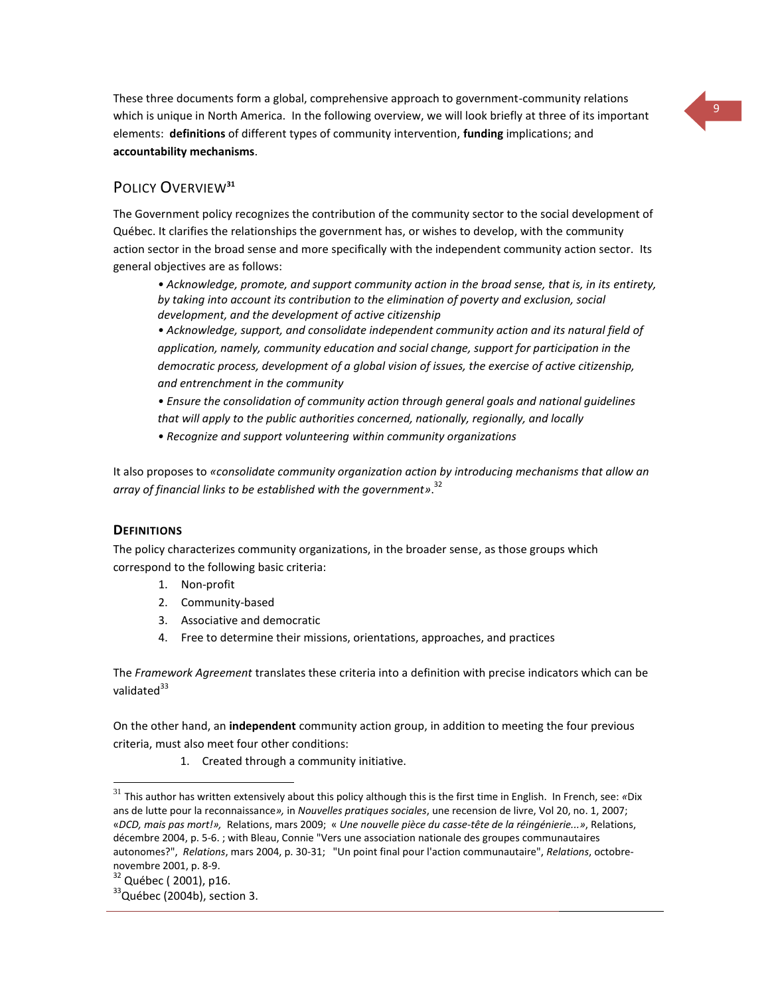These three documents form a global, comprehensive approach to government-community relations which is unique in North America. In the following overview, we will look briefly at three of its important elements: **definitions** of different types of community intervention, **funding** implications; and **accountability mechanisms**.

### POLICY OVERVIEW**<sup>31</sup>**

The Government policy recognizes the contribution of the community sector to the social development of Québec. It clarifies the relationships the government has, or wishes to develop, with the community action sector in the broad sense and more specifically with the independent community action sector. Its general objectives are as follows:

*• Acknowledge, promote, and support community action in the broad sense, that is, in its entirety, by taking into account its contribution to the elimination of poverty and exclusion, social development, and the development of active citizenship*

*• Acknowledge, support, and consolidate independent community action and its natural field of application, namely, community education and social change, support for participation in the democratic process, development of a global vision of issues, the exercise of active citizenship, and entrenchment in the community* 

*• Ensure the consolidation of community action through general goals and national guidelines that will apply to the public authorities concerned, nationally, regionally, and locally*

*• Recognize and support volunteering within community organizations*

It also proposes to *«consolidate community organization action by introducing mechanisms that allow an array of financial links to be established with the government»*. 32

### **DEFINITIONS**

The policy characterizes community organizations, in the broader sense, as those groups which correspond to the following basic criteria:

- 1. Non-profit
- 2. Community-based
- 3. Associative and democratic
- 4. Free to determine their missions, orientations, approaches, and practices

The *Framework Agreement* translates these criteria into a definition with precise indicators which can be validated<sup>33</sup>

On the other hand, an **independent** community action group, in addition to meeting the four previous criteria, must also meet four other conditions:

1. Created through a community initiative.

 $\overline{a}$ 

<sup>31</sup> This author has written extensively about this policy although this is the first time in English. In French, see: *«*Dix ans de lutte pour la reconnaissance*»,* in *Nouvelles pratiques sociales*, une recension de livre, Vol 20, no. 1, 2007; «*DCD, mais pas mort!»,* Relations, mars 2009; « *[Une nouvelle pièce du casse-tête de la réingénierie...»](http://www.cjf.qc.ca/relations/archives/themes/textes/gauche_mouv/gauc_grea_0412.htm)*, Relations, décembre 2004, p. 5-6. ; with Bleau, Connie "Vers une association nationale des groupes communautaires autonomes?", *Relations*, mars 2004, p. 30-31; "Un point final pour l'action communautaire", *Relations*, octobrenovembre 2001, p. 8-9.

<sup>32</sup> Québec ( 2001), p16.

 $33$ Québec (2004b), section 3.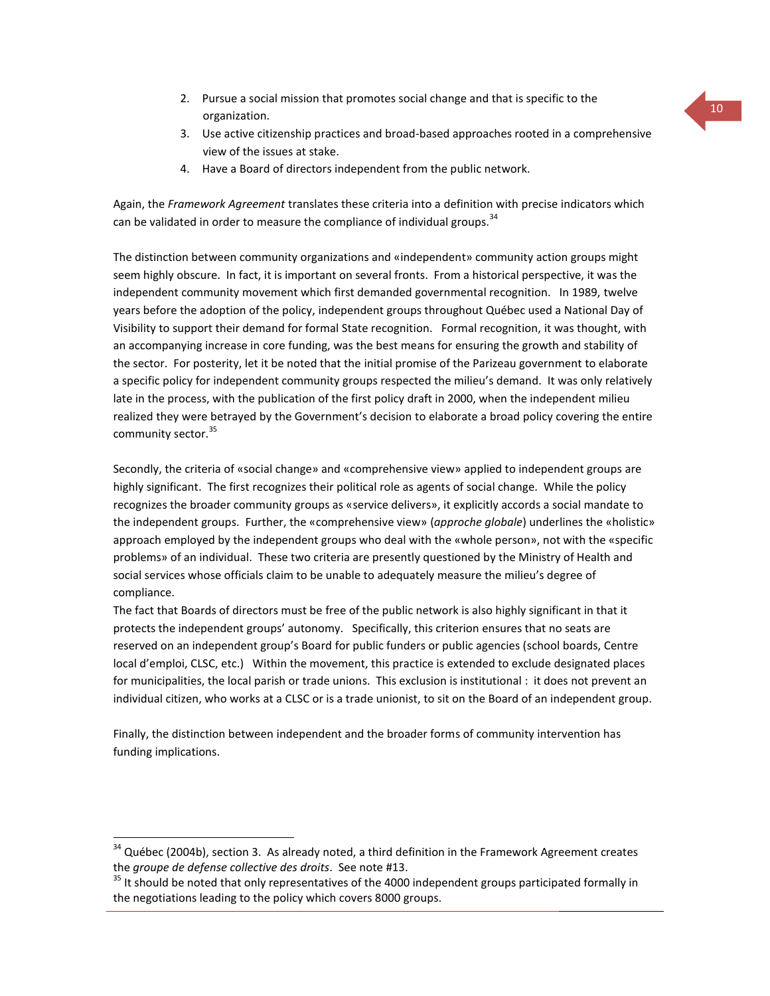- 2. Pursue a social mission that promotes social change and that is specific to the organization.
- 3. Use active citizenship practices and broad-based approaches rooted in a comprehensive view of the issues at stake.
- 4. Have a Board of directors independent from the public network.

Again, the *Framework Agreement* translates these criteria into a definition with precise indicators which can be validated in order to measure the compliance of individual groups.  $34$ 

The distinction between community organizations and «independent» community action groups might seem highly obscure. In fact, it is important on several fronts. From a historical perspective, it was the independent community movement which first demanded governmental recognition. In 1989, twelve years before the adoption of the policy, independent groups throughout Québec used a National Day of Visibility to support their demand for formal State recognition. Formal recognition, it was thought, with an accompanying increase in core funding, was the best means for ensuring the growth and stability of the sector. For posterity, let it be noted that the initial promise of the Parizeau government to elaborate a specific policy for independent community groups respected the milieu's demand. It was only relatively late in the process, with the publication of the first policy draft in 2000, when the independent milieu realized they were betrayed by the Government's decision to elaborate a broad policy covering the entire community sector.<sup>35</sup>

Secondly, the criteria of «social change» and «comprehensive view» applied to independent groups are highly significant. The first recognizes their political role as agents of social change. While the policy recognizes the broader community groups as «service delivers», it explicitly accords a social mandate to the independent groups. Further, the «comprehensive view» (*approche globale*) underlines the «holistic» approach employed by the independent groups who deal with the «whole person», not with the «specific problems» of an individual. These two criteria are presently questioned by the Ministry of Health and social services whose officials claim to be unable to adequately measure the milieu's degree of compliance.

The fact that Boards of directors must be free of the public network is also highly significant in that it protects the independent groups' autonomy. Specifically, this criterion ensures that no seats are reserved on an independent group's Board for public funders or public agencies (school boards, Centre local d'emploi, CLSC, etc.) Within the movement, this practice is extended to exclude designated places for municipalities, the local parish or trade unions. This exclusion is institutional : it does not prevent an individual citizen, who works at a CLSC or is a trade unionist, to sit on the Board of an independent group.

Finally, the distinction between independent and the broader forms of community intervention has funding implications.

 $\overline{a}$ 

 $34$  Québec (2004b), section 3. As already noted, a third definition in the Framework Agreement creates the *groupe de defense collective des droits*. See note #13.

<sup>&</sup>lt;sup>35</sup> It should be noted that only representatives of the 4000 independent groups participated formally in the negotiations leading to the policy which covers 8000 groups.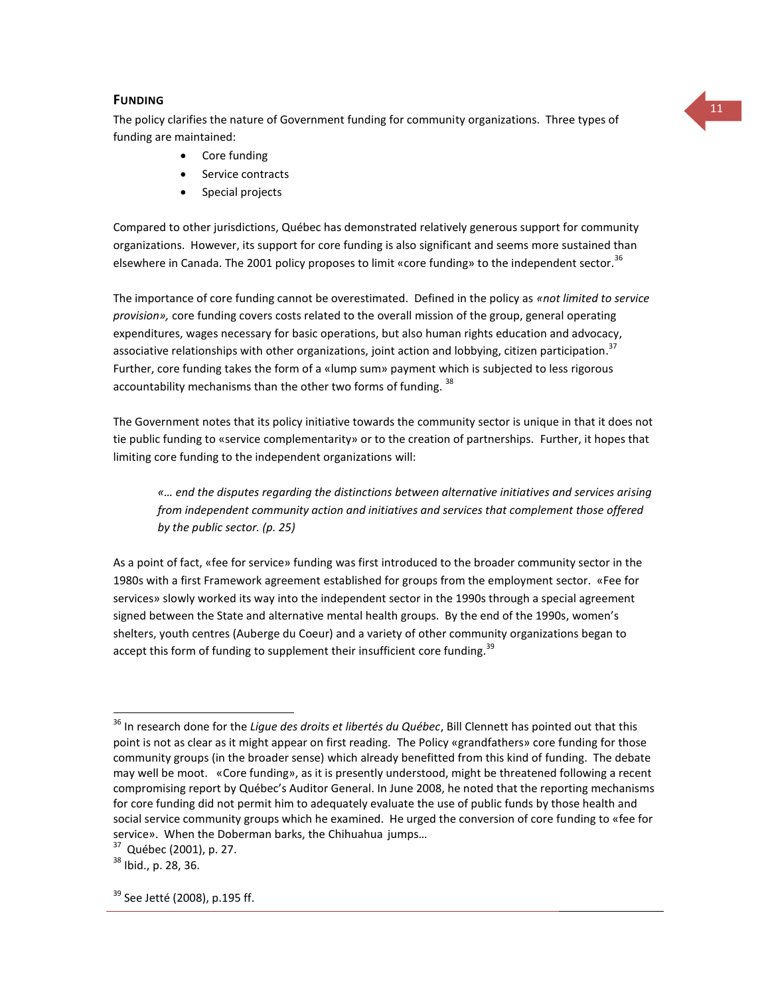<sup>11</sup> **<sup>F</sup>UNDING** The policy clarifies the nature of Government funding for community organizations. Three types of funding are maintained:

- Core funding
- Service contracts
- Special projects

Compared to other jurisdictions, Québec has demonstrated relatively generous support for community organizations. However, its support for core funding is also significant and seems more sustained than elsewhere in Canada. The 2001 policy proposes to limit «core funding» to the independent sector.<sup>36</sup>

The importance of core funding cannot be overestimated. Defined in the policy as *«not limited to service provision»,* core funding covers costs related to the overall mission of the group, general operating expenditures, wages necessary for basic operations, but also human rights education and advocacy, associative relationships with other organizations, joint action and lobbying, citizen participation.<sup>37</sup> Further, core funding takes the form of a «lump sum» payment which is subjected to less rigorous accountability mechanisms than the other two forms of funding.  $38$ 

The Government notes that its policy initiative towards the community sector is unique in that it does not tie public funding to «service complementarity» or to the creation of partnerships. Further, it hopes that limiting core funding to the independent organizations will:

*«… end the disputes regarding the distinctions between alternative initiatives and services arising from independent community action and initiatives and services that complement those offered by the public sector. (p. 25)* 

As a point of fact, «fee for service» funding was first introduced to the broader community sector in the 1980s with a first Framework agreement established for groups from the employment sector. «Fee for services» slowly worked its way into the independent sector in the 1990s through a special agreement signed between the State and alternative mental health groups. By the end of the 1990s, women's shelters, youth centres (Auberge du Coeur) and a variety of other community organizations began to accept this form of funding to supplement their insufficient core funding.<sup>39</sup>

 $\overline{a}$ 

<sup>36</sup> In research done for the *Ligue des droits et libertés du Québec*, Bill Clennett has pointed out that this point is not as clear as it might appear on first reading. The Policy «grandfathers» core funding for those community groups (in the broader sense) which already benefitted from this kind of funding. The debate may well be moot. «Core funding», as it is presently understood, might be threatened following a recent compromising report by Québec's Auditor General. In June 2008, he noted that the reporting mechanisms for core funding did not permit him to adequately evaluate the use of public funds by those health and social service community groups which he examined. He urged the conversion of core funding to «fee for service». When the Doberman barks, the Chihuahua jumps…

<sup>37</sup> Québec (2001), p. 27.

<sup>38</sup> Ibid., p. 28, 36.

 $39$  See Jetté (2008), p.195 ff.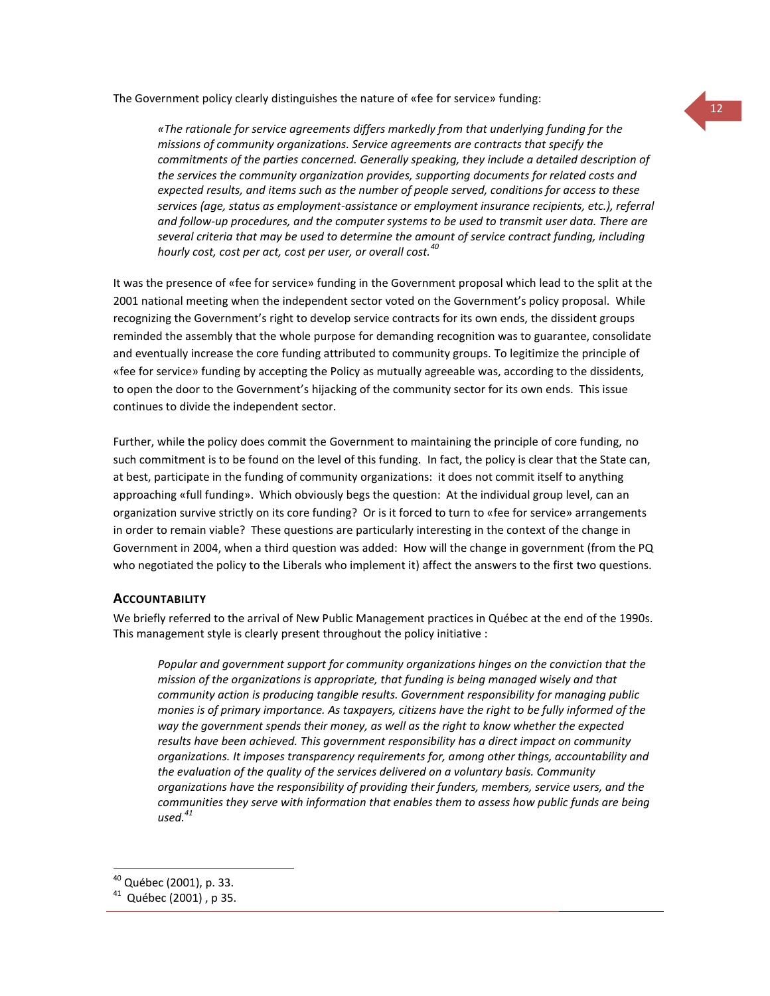The Government policy clearly distinguishes the nature of «fee for service» funding:

*«The rationale for service agreements differs markedly from that underlying funding for the missions of community organizations. Service agreements are contracts that specify the commitments of the parties concerned. Generally speaking, they include a detailed description of the services the community organization provides, supporting documents for related costs and expected results, and items such as the number of people served, conditions for access to these services (age, status as employment-assistance or employment insurance recipients, etc.), referral and follow-up procedures, and the computer systems to be used to transmit user data. There are several criteria that may be used to determine the amount of service contract funding, including hourly cost, cost per act, cost per user, or overall cost.<sup>40</sup>*

It was the presence of «fee for service» funding in the Government proposal which lead to the split at the 2001 national meeting when the independent sector voted on the Government's policy proposal. While recognizing the Government's right to develop service contracts for its own ends, the dissident groups reminded the assembly that the whole purpose for demanding recognition was to guarantee, consolidate and eventually increase the core funding attributed to community groups. To legitimize the principle of «fee for service» funding by accepting the Policy as mutually agreeable was, according to the dissidents, to open the door to the Government's hijacking of the community sector for its own ends. This issue continues to divide the independent sector.

Further, while the policy does commit the Government to maintaining the principle of core funding, no such commitment is to be found on the level of this funding. In fact, the policy is clear that the State can, at best, participate in the funding of community organizations: it does not commit itself to anything approaching «full funding». Which obviously begs the question: At the individual group level, can an organization survive strictly on its core funding? Or is it forced to turn to «fee for service» arrangements in order to remain viable? These questions are particularly interesting in the context of the change in Government in 2004, when a third question was added: How will the change in government (from the PQ who negotiated the policy to the Liberals who implement it) affect the answers to the first two questions.

### **ACCOUNTABILITY**

We briefly referred to the arrival of New Public Management practices in Québec at the end of the 1990s. This management style is clearly present throughout the policy initiative :

*Popular and government support for community organizations hinges on the conviction that the mission of the organizations is appropriate, that funding is being managed wisely and that community action is producing tangible results. Government responsibility for managing public monies is of primary importance. As taxpayers, citizens have the right to be fully informed of the way the government spends their money, as well as the right to know whether the expected results have been achieved. This government responsibility has a direct impact on community organizations. It imposes transparency requirements for, among other things, accountability and the evaluation of the quality of the services delivered on a voluntary basis. Community organizations have the responsibility of providing their funders, members, service users, and the communities they serve with information that enables them to assess how public funds are being used.<sup>41</sup>*

 $\overline{a}$ 

<sup>40</sup> Québec (2001), p. 33.

<sup>41</sup> Québec (2001) , p 35.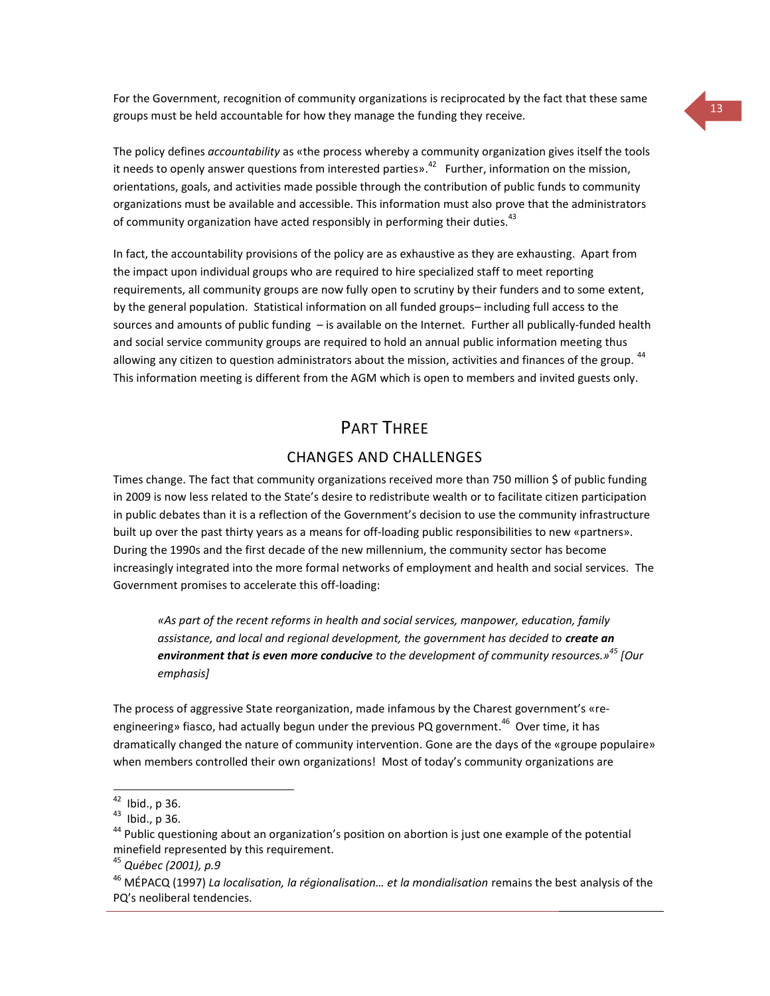For the Government, recognition of community organizations is reciprocated by the fact that these same groups must be held accountable for how they manage the funding they receive.

The policy defines *accountability* as «the process whereby a community organization gives itself the tools it needs to openly answer questions from interested parties».<sup>42</sup> Further, information on the mission, orientations, goals, and activities made possible through the contribution of public funds to community organizations must be available and accessible. This information must also prove that the administrators of community organization have acted responsibly in performing their duties.<sup>43</sup>

In fact, the accountability provisions of the policy are as exhaustive as they are exhausting. Apart from the impact upon individual groups who are required to hire specialized staff to meet reporting requirements, all community groups are now fully open to scrutiny by their funders and to some extent, by the general population. Statistical information on all funded groups– including full access to the sources and amounts of public funding – is available on the Internet. Further all publically-funded health and social service community groups are required to hold an annual public information meeting thus allowing any citizen to question administrators about the mission, activities and finances of the group.<sup>44</sup> This information meeting is different from the AGM which is open to members and invited guests only.

## PART THRFF

### CHANGES AND CHALLENGES

Times change. The fact that community organizations received more than 750 million \$ of public funding in 2009 is now less related to the State's desire to redistribute wealth or to facilitate citizen participation in public debates than it is a reflection of the Government's decision to use the community infrastructure built up over the past thirty years as a means for off-loading public responsibilities to new «partners». During the 1990s and the first decade of the new millennium, the community sector has become increasingly integrated into the more formal networks of employment and health and social services. The Government promises to accelerate this off-loading:

*«As part of the recent reforms in health and social services, manpower, education, family*  assistance, and local and regional development, the government has decided to **create an** *environment that is even more conducive to the development of community resources.»<sup>45</sup> [Our emphasis]*

The process of aggressive State reorganization, made infamous by the Charest government's «reengineering» fiasco, had actually begun under the previous PQ government.<sup>46</sup> Over time, it has dramatically changed the nature of community intervention. Gone are the days of the «groupe populaire» when members controlled their own organizations! Most of today's community organizations are

 $\overline{a}$ 

 $42$  Ibid., p 36.

<sup>43</sup> Ibid., p 36.

<sup>&</sup>lt;sup>44</sup> Public questioning about an organization's position on abortion is just one example of the potential minefield represented by this requirement.

<sup>45</sup> *Québec (2001), p.9*

<sup>46</sup> MÉPACQ (1997) *La localisation, la régionalisation… et la mondialisation* remains the best analysis of the PQ's neoliberal tendencies.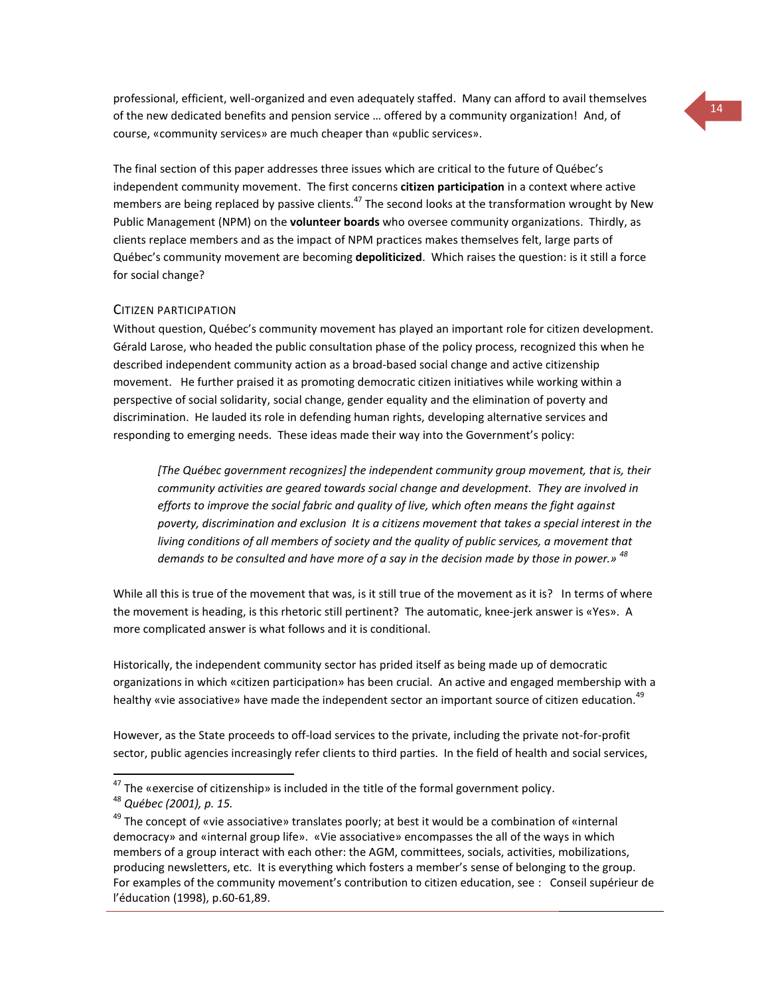professional, efficient, well-organized and even adequately staffed. Many can afford to avail themselves of the new dedicated benefits and pension service … offered by a community organization! And, of course, «community services» are much cheaper than «public services».

The final section of this paper addresses three issues which are critical to the future of Québec's independent community movement. The first concerns **citizen participation** in a context where active members are being replaced by passive clients.<sup>47</sup> The second looks at the transformation wrought by New Public Management (NPM) on the **volunteer boards** who oversee community organizations. Thirdly, as clients replace members and as the impact of NPM practices makes themselves felt, large parts of Québec's community movement are becoming **depoliticized**. Which raises the question: is it still a force for social change?

#### CITIZEN PARTICIPATION

Without question, Québec's community movement has played an important role for citizen development. Gérald Larose, who headed the public consultation phase of the policy process, recognized this when he described independent community action as a broad-based social change and active citizenship movement. He further praised it as promoting democratic citizen initiatives while working within a perspective of social solidarity, social change, gender equality and the elimination of poverty and discrimination. He lauded its role in defending human rights, developing alternative services and responding to emerging needs. These ideas made their way into the Government's policy:

*[The Québec government recognizes] the independent community group movement, that is, their community activities are geared towards social change and development. They are involved in efforts to improve the social fabric and quality of live, which often means the fight against poverty, discrimination and exclusion It is a citizens movement that takes a special interest in the living conditions of all members of society and the quality of public services, a movement that demands to be consulted and have more of a say in the decision made by those in power.» 48*

While all this is true of the movement that was, is it still true of the movement as it is? In terms of where the movement is heading, is this rhetoric still pertinent? The automatic, knee-jerk answer is «Yes». A more complicated answer is what follows and it is conditional.

Historically, the independent community sector has prided itself as being made up of democratic organizations in which «citizen participation» has been crucial. An active and engaged membership with a healthy «vie associative» have made the independent sector an important source of citizen education.<sup>49</sup>

However, as the State proceeds to off-load services to the private, including the private not-for-profit sector, public agencies increasingly refer clients to third parties. In the field of health and social services,

 $\overline{a}$ 

 $^{47}$  The «exercise of citizenship» is included in the title of the formal government policy.

<sup>48</sup> *Québec (2001), p. 15.*

 $49$  The concept of «vie associative» translates poorly; at best it would be a combination of «internal democracy» and «internal group life». «Vie associative» encompasses the all of the ways in which members of a group interact with each other: the AGM, committees, socials, activities, mobilizations, producing newsletters, etc. It is everything which fosters a member's sense of belonging to the group. For examples of the community movement's contribution to citizen education, see : Conseil supérieur de l'éducation (1998), p.60-61,89.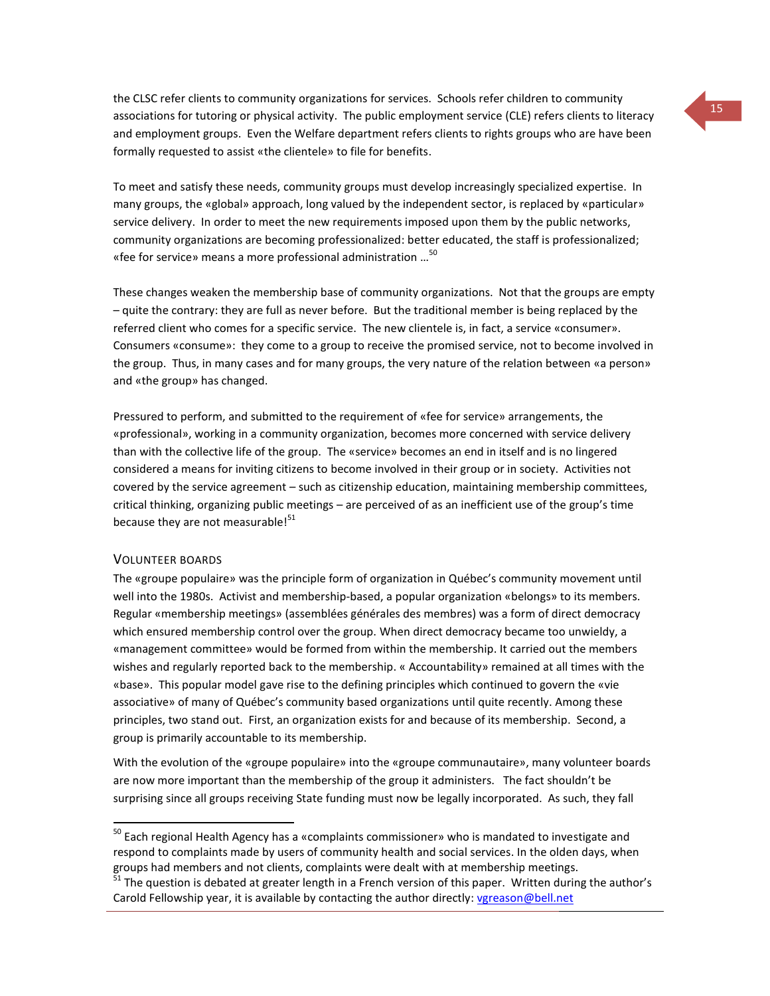the CLSC refer clients to community organizations for services. Schools refer children to community associations for tutoring or physical activity. The public employment service (CLE) refers clients to literacy and employment groups. Even the Welfare department refers clients to rights groups who are have been formally requested to assist «the clientele» to file for benefits.

To meet and satisfy these needs, community groups must develop increasingly specialized expertise. In many groups, the «global» approach, long valued by the independent sector, is replaced by «particular» service delivery. In order to meet the new requirements imposed upon them by the public networks, community organizations are becoming professionalized: better educated, the staff is professionalized; «fee for service» means a more professional administration …<sup>50</sup>

These changes weaken the membership base of community organizations. Not that the groups are empty – quite the contrary: they are full as never before. But the traditional member is being replaced by the referred client who comes for a specific service. The new clientele is, in fact, a service «consumer». Consumers «consume»: they come to a group to receive the promised service, not to become involved in the group. Thus, in many cases and for many groups, the very nature of the relation between «a person» and «the group» has changed.

Pressured to perform, and submitted to the requirement of «fee for service» arrangements, the «professional», working in a community organization, becomes more concerned with service delivery than with the collective life of the group. The «service» becomes an end in itself and is no lingered considered a means for inviting citizens to become involved in their group or in society. Activities not covered by the service agreement – such as citizenship education, maintaining membership committees, critical thinking, organizing public meetings – are perceived of as an inefficient use of the group's time because they are not measurable!<sup>51</sup>

#### VOLUNTEER BOARDS

 $\overline{a}$ 

The «groupe populaire» was the principle form of organization in Québec's community movement until well into the 1980s. Activist and membership-based, a popular organization «belongs» to its members. Regular «membership meetings» (assemblées générales des membres) was a form of direct democracy which ensured membership control over the group. When direct democracy became too unwieldy, a «management committee» would be formed from within the membership. It carried out the members wishes and regularly reported back to the membership. « Accountability» remained at all times with the «base». This popular model gave rise to the defining principles which continued to govern the «vie associative» of many of Québec's community based organizations until quite recently. Among these principles, two stand out. First, an organization exists for and because of its membership. Second, a group is primarily accountable to its membership.

With the evolution of the «groupe populaire» into the «groupe communautaire», many volunteer boards are now more important than the membership of the group it administers. The fact shouldn't be surprising since all groups receiving State funding must now be legally incorporated. As such, they fall

<sup>&</sup>lt;sup>50</sup> Each regional Health Agency has a «complaints commissioner» who is mandated to investigate and respond to complaints made by users of community health and social services. In the olden days, when groups had members and not clients, complaints were dealt with at membership meetings.

 $51$  The question is debated at greater length in a French version of this paper. Written during the author's Carold Fellowship year, it is available by contacting the author directly[: vgreason@bell.net](mailto:vgreason@bell.net)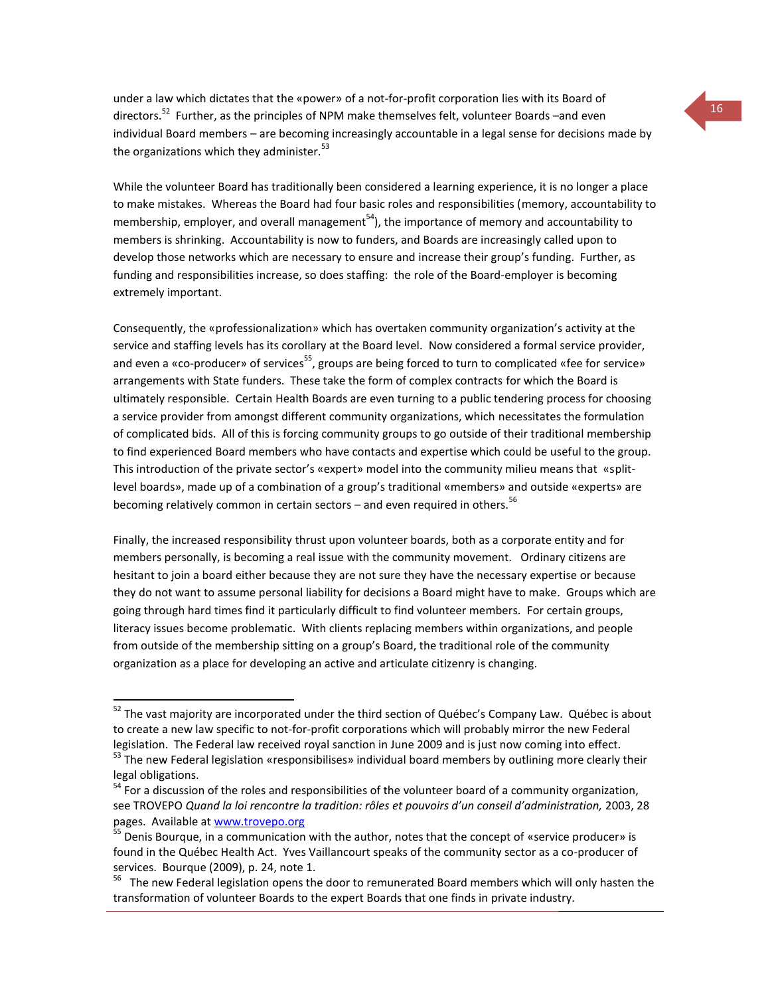under a law which dictates that the «power» of a not-for-profit corporation lies with its Board of directors.<sup>52</sup> Further, as the principles of NPM make themselves felt, volunteer Boards –and even individual Board members – are becoming increasingly accountable in a legal sense for decisions made by the organizations which they administer. $^{53}$ 

While the volunteer Board has traditionally been considered a learning experience, it is no longer a place to make mistakes. Whereas the Board had four basic roles and responsibilities (memory, accountability to membership, employer, and overall management<sup>54</sup>), the importance of memory and accountability to members is shrinking. Accountability is now to funders, and Boards are increasingly called upon to develop those networks which are necessary to ensure and increase their group's funding. Further, as funding and responsibilities increase, so does staffing: the role of the Board-employer is becoming extremely important.

Consequently, the «professionalization» which has overtaken community organization's activity at the service and staffing levels has its corollary at the Board level. Now considered a formal service provider, and even a «co-producer» of services<sup>55</sup>, groups are being forced to turn to complicated «fee for service» arrangements with State funders. These take the form of complex contracts for which the Board is ultimately responsible. Certain Health Boards are even turning to a public tendering process for choosing a service provider from amongst different community organizations, which necessitates the formulation of complicated bids. All of this is forcing community groups to go outside of their traditional membership to find experienced Board members who have contacts and expertise which could be useful to the group. This introduction of the private sector's «expert» model into the community milieu means that «splitlevel boards», made up of a combination of a group's traditional «members» and outside «experts» are becoming relatively common in certain sectors  $-$  and even required in others.<sup>56</sup>

Finally, the increased responsibility thrust upon volunteer boards, both as a corporate entity and for members personally, is becoming a real issue with the community movement. Ordinary citizens are hesitant to join a board either because they are not sure they have the necessary expertise or because they do not want to assume personal liability for decisions a Board might have to make. Groups which are going through hard times find it particularly difficult to find volunteer members. For certain groups, literacy issues become problematic. With clients replacing members within organizations, and people from outside of the membership sitting on a group's Board, the traditional role of the community organization as a place for developing an active and articulate citizenry is changing.

 $\overline{a}$ 

<sup>&</sup>lt;sup>52</sup> The vast maiority are incorporated under the third section of Québec's Company Law. Québec is about to create a new law specific to not-for-profit corporations which will probably mirror the new Federal legislation. The Federal law received royal sanction in June 2009 and is just now coming into effect.

<sup>&</sup>lt;sup>53</sup> The new Federal legislation «responsibilises» individual board members by outlining more clearly their legal obligations.

<sup>&</sup>lt;sup>54</sup> For a discussion of the roles and responsibilities of the volunteer board of a community organization, see TROVEPO *Quand la loi rencontre la tradition: rôles et pouvoirs d'un conseil d'administration,* 2003, 28 pages. Available at [www.trovepo.org](http://www.trovepo.org/)

<sup>&</sup>lt;sup>55</sup> Denis Bourque, in a communication with the author, notes that the concept of «service producer» is found in the Québec Health Act. Yves Vaillancourt speaks of the community sector as a co-producer of services. Bourque (2009), p. 24, note 1.

<sup>&</sup>lt;sup>56</sup> The new Federal legislation opens the door to remunerated Board members which will only hasten the transformation of volunteer Boards to the expert Boards that one finds in private industry.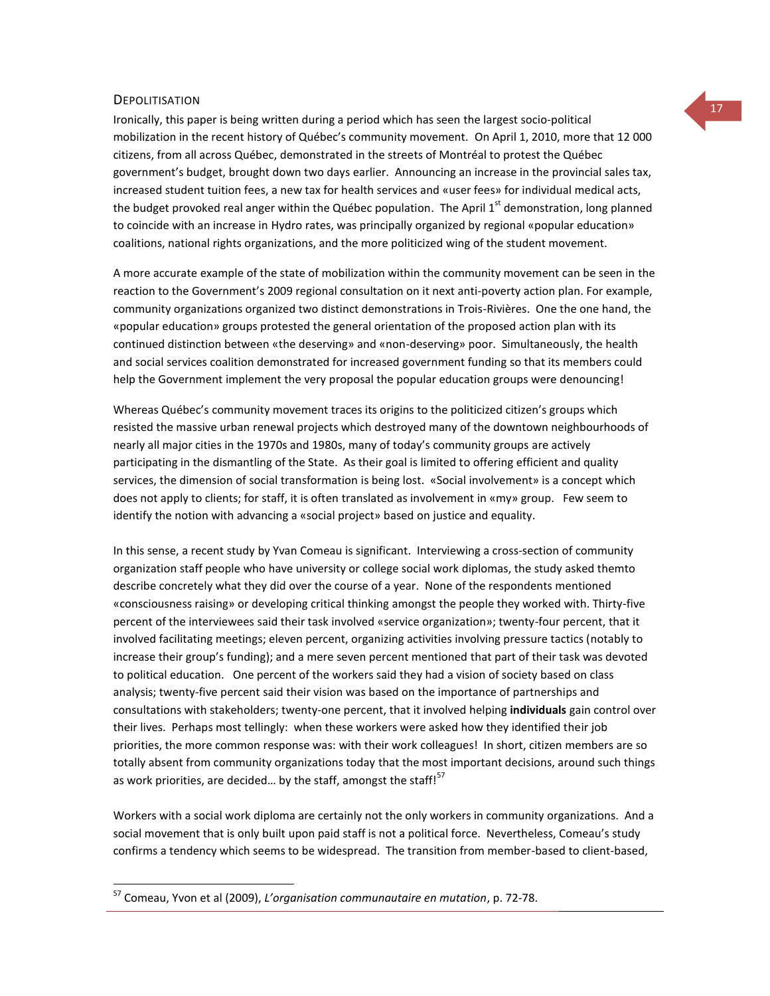# **DEPOLITISATION**

 $\overline{a}$ 

Ironically, this paper is being written during a period which has seen the largest socio-political mobilization in the recent history of Québec's community movement. On April 1, 2010, more that 12 000 citizens, from all across Québec, demonstrated in the streets of Montréal to protest the Québec government's budget, brought down two days earlier. Announcing an increase in the provincial sales tax, increased student tuition fees, a new tax for health services and «user fees» for individual medical acts, the budget provoked real anger within the Québec population. The April  $1<sup>st</sup>$  demonstration, long planned to coincide with an increase in Hydro rates, was principally organized by regional «popular education» coalitions, national rights organizations, and the more politicized wing of the student movement.

A more accurate example of the state of mobilization within the community movement can be seen in the reaction to the Government's 2009 regional consultation on it next anti-poverty action plan. For example, community organizations organized two distinct demonstrations in Trois-Rivières. One the one hand, the «popular education» groups protested the general orientation of the proposed action plan with its continued distinction between «the deserving» and «non-deserving» poor. Simultaneously, the health and social services coalition demonstrated for increased government funding so that its members could help the Government implement the very proposal the popular education groups were denouncing!

Whereas Québec's community movement traces its origins to the politicized citizen's groups which resisted the massive urban renewal projects which destroyed many of the downtown neighbourhoods of nearly all major cities in the 1970s and 1980s, many of today's community groups are actively participating in the dismantling of the State. As their goal is limited to offering efficient and quality services, the dimension of social transformation is being lost. «Social involvement» is a concept which does not apply to clients; for staff, it is often translated as involvement in «my» group. Few seem to identify the notion with advancing a «social project» based on justice and equality.

In this sense, a recent study by Yvan Comeau is significant. Interviewing a cross-section of community organization staff people who have university or college social work diplomas, the study asked themto describe concretely what they did over the course of a year. None of the respondents mentioned «consciousness raising» or developing critical thinking amongst the people they worked with. Thirty-five percent of the interviewees said their task involved «service organization»; twenty-four percent, that it involved facilitating meetings; eleven percent, organizing activities involving pressure tactics (notably to increase their group's funding); and a mere seven percent mentioned that part of their task was devoted to political education. One percent of the workers said they had a vision of society based on class analysis; twenty-five percent said their vision was based on the importance of partnerships and consultations with stakeholders; twenty-one percent, that it involved helping **individuals** gain control over their lives. Perhaps most tellingly: when these workers were asked how they identified their job priorities, the more common response was: with their work colleagues! In short, citizen members are so totally absent from community organizations today that the most important decisions, around such things as work priorities, are decided... by the staff, amongst the staff! $57$ 

Workers with a social work diploma are certainly not the only workers in community organizations. And a social movement that is only built upon paid staff is not a political force. Nevertheless, Comeau's study confirms a tendency which seems to be widespread. The transition from member-based to client-based,

<sup>57</sup> Comeau, Yvon et al (2009), *L'organisation communautaire en mutation*, p. 72-78.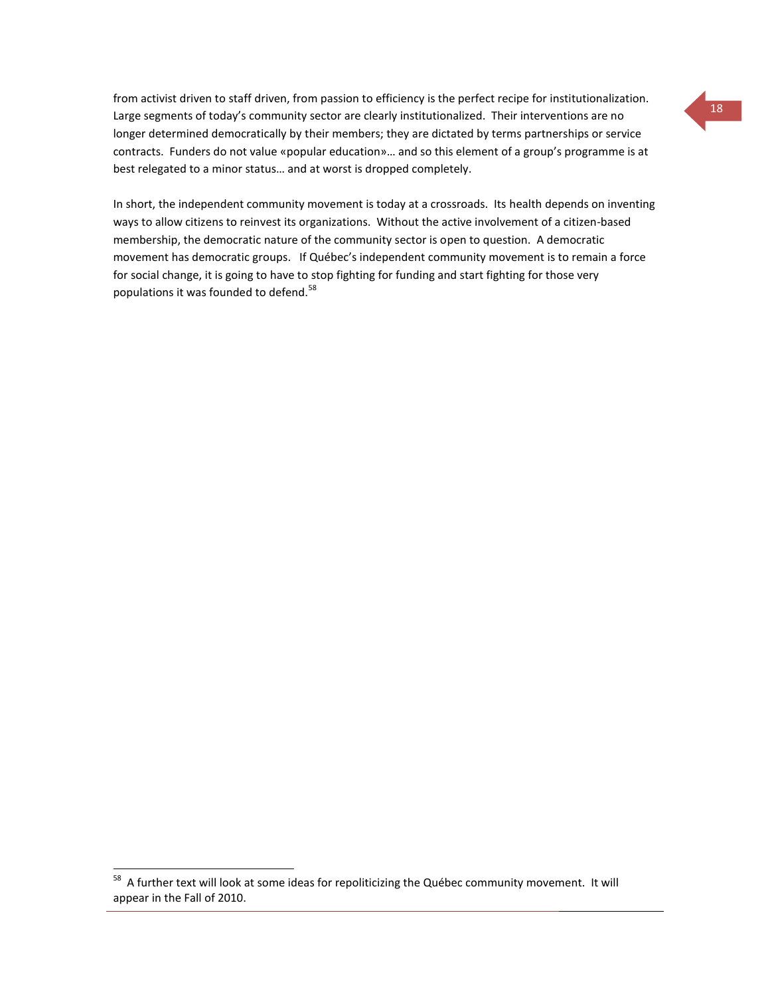from activist driven to staff driven, from passion to efficiency is the perfect recipe for institutionalization. Large segments of today's community sector are clearly institutionalized. Their interventions are no longer determined democratically by their members; they are dictated by terms partnerships or service contracts. Funders do not value «popular education»… and so this element of a group's programme is at best relegated to a minor status… and at worst is dropped completely.

In short, the independent community movement is today at a crossroads. Its health depends on inventing ways to allow citizens to reinvest its organizations. Without the active involvement of a citizen-based membership, the democratic nature of the community sector is open to question. A democratic movement has democratic groups. If Québec's independent community movement is to remain a force for social change, it is going to have to stop fighting for funding and start fighting for those very populations it was founded to defend.<sup>58</sup>

 $\overline{a}$ 

 $^{58}$  A further text will look at some ideas for repoliticizing the Québec community movement. It will appear in the Fall of 2010.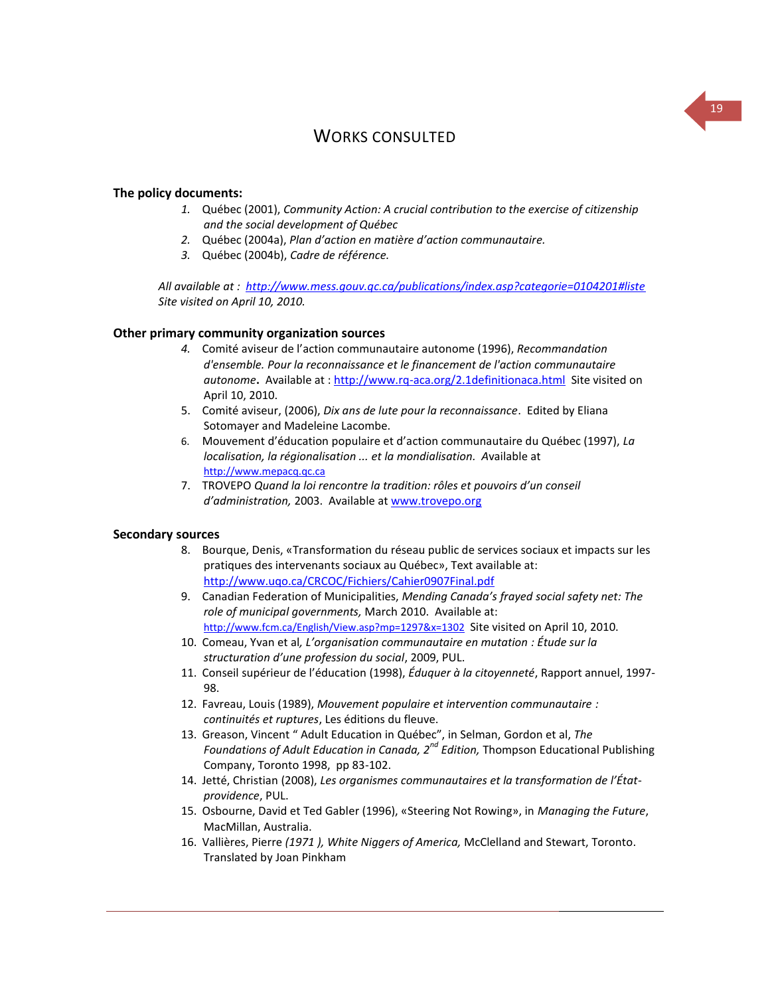## WORKS CONSULTED

#### **The policy documents:**

- *1.* Québec (2001), *Community Action: A crucial contribution to the exercise of citizenship and the social development of Québec*
- *2.* Québec (2004a), *Plan d'action en matière d'action communautaire.*
- *3.* Québec (2004b), *Cadre de référence.*

*All available at :<http://www.mess.gouv.qc.ca/publications/index.asp?categorie=0104201#liste> Site visited on April 10, 2010.*

#### **Other primary community organization sources**

- *4.* Comité aviseur de l'action communautaire autonome (1996), *Recommandation d'ensemble. Pour la reconnaissance et le financement de l'action communautaire autonome***.** Available at [: http://www.rq-aca.org/2.1definitionaca.html](http://www.rq-aca.org/2.1definitionaca.html) Site visited on April 10, 2010.
- 5. Comité aviseur, (2006), *Dix ans de lute pour la reconnaissance*. Edited by Eliana Sotomayer and Madeleine Lacombe.
- 6. Mouvement d'éducation populaire et d'action communautaire du Québec (1997), *La localisation, la régionalisation ... et la mondialisation. A*vailable at [http://www.mepacq.qc.ca](http://www.mepacq.qc.ca/)
- 7. TROVEPO *Quand la loi rencontre la tradition: rôles et pouvoirs d'un conseil d'administration,* 2003. Available at [www.trovepo.org](http://www.trovepo.org/)

#### **Secondary sources**

- 8. Bourque, Denis, «Transformation du réseau public de services sociaux et impacts sur les pratiques des intervenants sociaux au Québec», Text available at: <http://www.uqo.ca/CRCOC/Fichiers/Cahier0907Final.pdf>
- 9. Canadian Federation of Municipalities, *Mending Canada's frayed social safety net: The role of municipal governments,* March 2010. Available at: <http://www.fcm.ca/English/View.asp?mp=1297&x=1302> Site visited on April 10, 2010.
- 10. Comeau, Yvan et al*, L'organisation communautaire en mutation : Étude sur la structuration d'une profession du social*, 2009, PUL.
- 11. Conseil supérieur de l'éducation (1998), *Éduquer à la citoyenneté*, Rapport annuel, 1997- 98.
- 12. Favreau, Louis (1989), *Mouvement populaire et intervention communautaire : continuités et ruptures*, Les éditions du fleuve.
- 13. Greason, Vincent " Adult Education in Québec", in Selman, Gordon et al, *The Foundations of Adult Education in Canada, 2nd Edition,* Thompson Educational Publishing Company, Toronto 1998, pp 83-102.
- 14. Jetté, Christian (2008), *Les organismes communautaires et la transformation de l'Étatprovidence*, PUL.
- 15. Osbourne, David et Ted Gabler (1996), «Steering Not Rowing», in *Managing the Future*, MacMillan, Australia.
- 16. Vallières, Pierre *(1971 ), White Niggers of America,* McClelland and Stewart, Toronto. Translated by Joan Pinkham